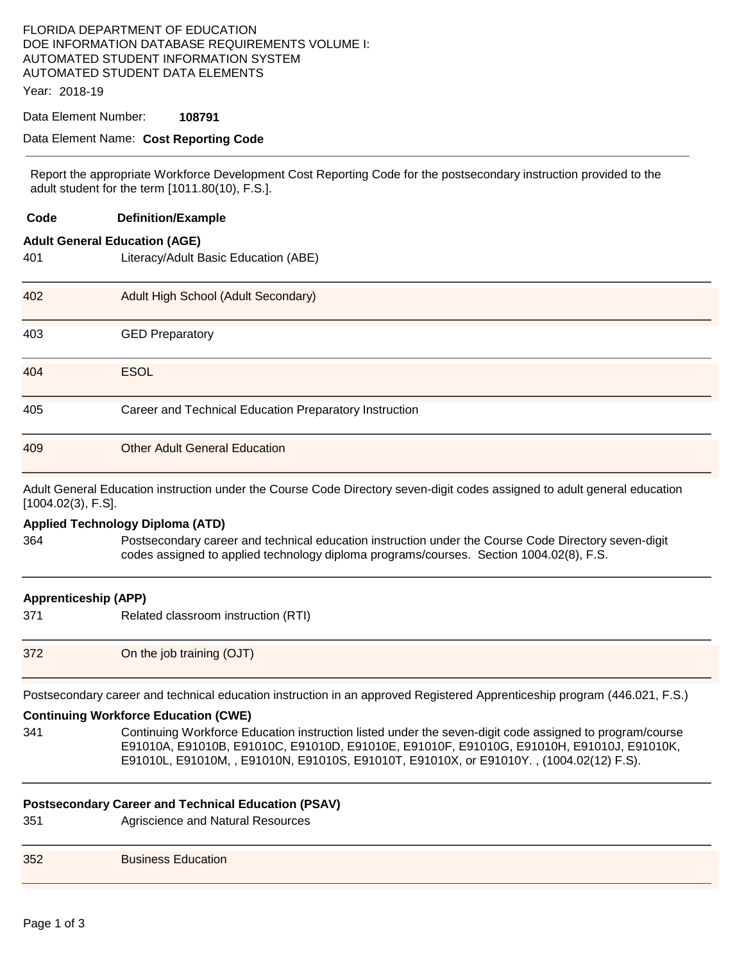# FLORIDA DEPARTMENT OF EDUCATION DOE INFORMATION DATABASE REQUIREMENTS VOLUME I: AUTOMATED STUDENT INFORMATION SYSTEM AUTOMATED STUDENT DATA ELEMENTS

Year: 2018-19

## Data Element Number: **108791**

### Data Element Name: **Cost Reporting Code**

Report the appropriate Workforce Development Cost Reporting Code for the postsecondary instruction provided to the adult student for the term [1011.80(10), F.S.].

| Code                        | <b>Definition/Example</b>                                                                                                                                                                                                                                                                       |  |
|-----------------------------|-------------------------------------------------------------------------------------------------------------------------------------------------------------------------------------------------------------------------------------------------------------------------------------------------|--|
|                             | <b>Adult General Education (AGE)</b>                                                                                                                                                                                                                                                            |  |
| 401                         | Literacy/Adult Basic Education (ABE)                                                                                                                                                                                                                                                            |  |
| 402                         | Adult High School (Adult Secondary)                                                                                                                                                                                                                                                             |  |
| 403                         | <b>GED Preparatory</b>                                                                                                                                                                                                                                                                          |  |
| 404                         | <b>ESOL</b>                                                                                                                                                                                                                                                                                     |  |
| 405                         | Career and Technical Education Preparatory Instruction                                                                                                                                                                                                                                          |  |
| 409                         | <b>Other Adult General Education</b>                                                                                                                                                                                                                                                            |  |
| [1004.02(3), F.S].          | Adult General Education instruction under the Course Code Directory seven-digit codes assigned to adult general education                                                                                                                                                                       |  |
|                             | <b>Applied Technology Diploma (ATD)</b>                                                                                                                                                                                                                                                         |  |
| 364                         | Postsecondary career and technical education instruction under the Course Code Directory seven-digit<br>codes assigned to applied technology diploma programs/courses. Section 1004.02(8), F.S.                                                                                                 |  |
| <b>Apprenticeship (APP)</b> |                                                                                                                                                                                                                                                                                                 |  |
| 371                         | Related classroom instruction (RTI)                                                                                                                                                                                                                                                             |  |
| 372                         | On the job training (OJT)                                                                                                                                                                                                                                                                       |  |
|                             | Postsecondary career and technical education instruction in an approved Registered Apprenticeship program (446.021, F.S.)                                                                                                                                                                       |  |
|                             | <b>Continuing Workforce Education (CWE)</b>                                                                                                                                                                                                                                                     |  |
| 341                         | Continuing Workforce Education instruction listed under the seven-digit code assigned to program/course<br>E91010A, E91010B, E91010C, E91010D, E91010E, E91010F, E91010G, E91010H, E91010J, E91010K,<br>E91010L, E91010M, , E91010N, E91010S, E91010T, E91010X, or E91010Y., (1004.02(12) F.S). |  |
|                             | <b>Postsecondary Career and Technical Education (PSAV)</b>                                                                                                                                                                                                                                      |  |
| 351                         | Agriscience and Natural Resources                                                                                                                                                                                                                                                               |  |
| 352                         | <b>Business Education</b>                                                                                                                                                                                                                                                                       |  |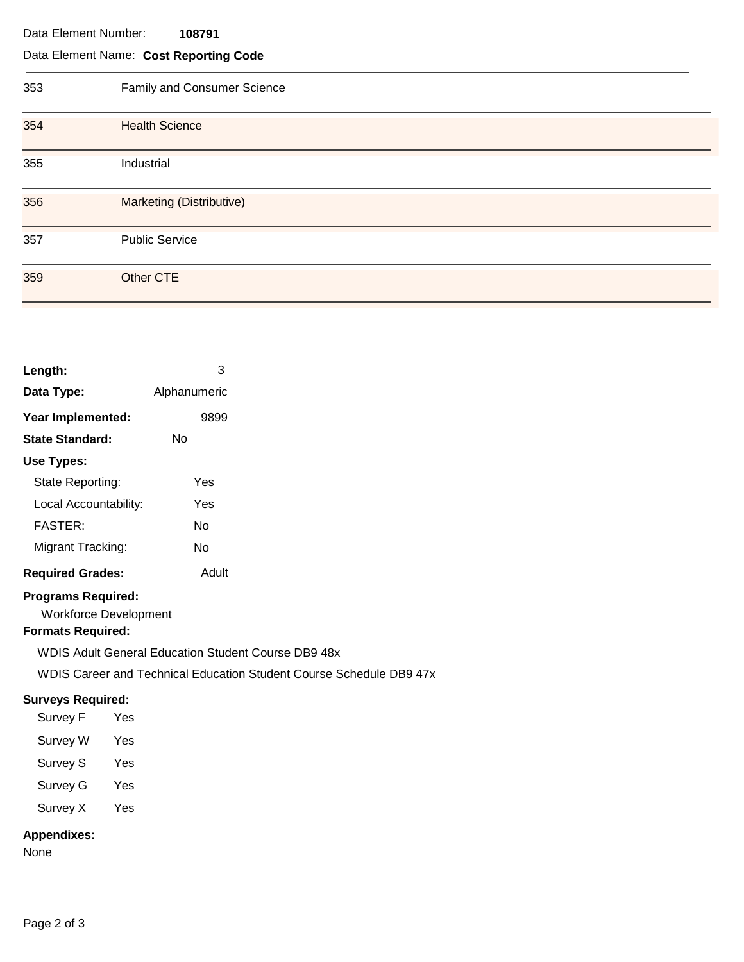#### Data Element Number: **108791**

## Data Element Name: **Cost Reporting Code**

| 353 | Family and Consumer Science |
|-----|-----------------------------|
| 354 | <b>Health Science</b>       |
| 355 | Industrial                  |
| 356 | Marketing (Distributive)    |
| 357 | <b>Public Service</b>       |
| 359 | Other CTE                   |

| Length:                 | 3            |
|-------------------------|--------------|
| Data Type:              | Alphanumeric |
| Year Implemented:       | 9899         |
| <b>State Standard:</b>  | N٥           |
| Use Types:              |              |
| State Reporting:        | Yes          |
| Local Accountability:   | Yes          |
| FASTFR·                 | N٥           |
| Migrant Tracking:       | N٥           |
| <b>Required Grades:</b> | Adult        |

## **Programs Required:**

Workforce Development

## **Formats Required:**

WDIS Adult General Education Student Course DB9 48x WDIS Career and Technical Education Student Course Schedule DB9 47x

## **Surveys Required:**

Survey F Yes

- Survey W Yes
- Survey S Yes
- Survey G Yes
- Survey X Yes

## **Appendixes:**

None